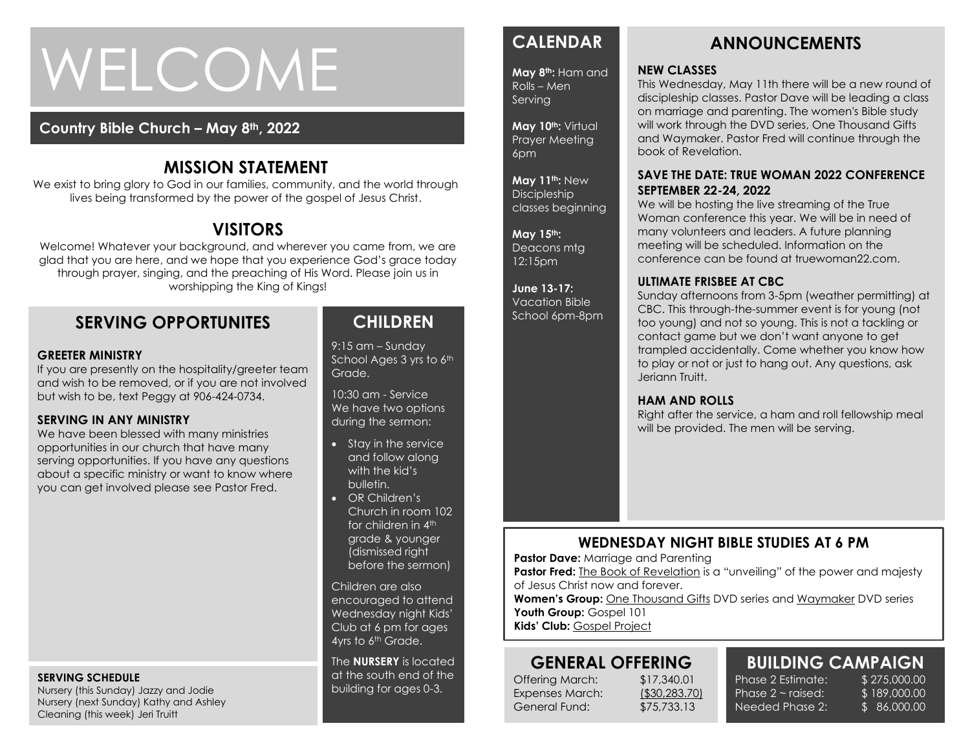# WELCOME

# **Country Bible Church – May 8th, 2022**

# **MISSION STATEMENT**

We exist to bring glory to God in our families, community, and the world through lives being transformed by the power of the gospel of Jesus Christ.

# **VISITORS**

Welcome! Whatever your background, and wherever you came from, we are glad that you are here, and we hope that you experience God's grace today through prayer, singing, and the preaching of His Word. Please join us in worshipping the King of Kings!

# **SERVING OPPORTUNITES**

#### **GREETER MINISTRY**

If you are presently on the hospitality/greeter team and wish to be removed, or if you are not involved but wish to be, text Peggy at 906-424-0734.

### **SERVING IN ANY MINISTRY**

We have been blessed with many ministries<br>opportunities in our church that have many opportunities in our church that have many serving opportunities. If you have any questions about a specific ministry or want to know where you can get involved please see Pastor Fred.

#### **SERVING SCHEDULE**

Nursery (this Sunday) Jazzy and Jodie Nursery (next Sunday) Kathy and Ashley Cleaning (this week) Jeri Truitt

# **CHILDREN**

9:15 am – Sunday School Ages 3 yrs to 6th Grade.

10:30 am - Service We have two options during the sermon:

- Stay in the service and follow along with the kid's bulletin.
- OR Children's Church in room 102 for children in 4<sup>th</sup> grade & younger (dismissed right before the sermon)

Children are also encouraged to attend Wednesday night Kids' Club at 6 pm for ages 4yrs to 6<sup>th</sup> Grade.

The **NURSERY** is located at the south end of the building for ages 0-3.

# **CALENDAR**

**May 8th:** Ham and Rolls – Men **Serving** 

**May 10th:** Virtual Prayer Meeting 6pm

**May 11th:** New Discipleship classes beginning

**May 15th:**  Deacons mtg 12:15pm

**June 13-17:**  Vacation Bible School 6pm-8pm

# **ANNOUNCEMENTS**

#### **NEW CLASSES**

This Wednesday, May 11th there will be a new round of discipleship classes. Pastor Dave will be leading a class on marriage and parenting. The women's Bible study will work through the DVD series, One Thousand Gifts and Waymaker. Pastor Fred will continue through the book of Revelation.

### **SAVE THE DATE: TRUE WOMAN 2022 CONFERENCE SEPTEMBER 22-24, 2022**

We will be hosting the live streaming of the True Woman conference this year. We will be in need of many volunteers and leaders. A future planning meeting will be scheduled. Information on the conference can be found at truewoman22.com.

### **ULTIMATE FRISBEE AT CBC**

Sunday afternoons from 3-5pm (weather permitting) at CBC. This through-the-summer event is for young (not too young) and not so young. This is not a tackling or contact game but we don't want anyone to get trampled accidentally. Come whether you know how to play or not or just to hang out. Any questions, ask Jeriann Truitt.

### **HAM AND ROLLS**

Right after the service, a ham and roll fellowship meal will be provided. The men will be serving.

# **WEDNESDAY NIGHT BIBLE STUDIES AT 6 PM**

**Pastor Dave: Marriage and Parenting** 

**Pastor Fred:** The Book of Revelation is a "unveiling" of the power and majesty of Jesus Christ now and forever.

**Women's Group:** One Thousand Gifts DVD series and Waymaker DVD series Youth Group: Gospel 101

**Kids' Club:** Gospel Project

# **GENERAL OFFERING**

Offering March: \$17,340.01 Expenses March: (\$30,283.70) General Fund: \$75,733.13

#### **BUILDING CAMPAIGN** Phase 2 Estimate: \$275,000.00 \$ 189,000.00

\$ 86,000.00

Phase  $2 \sim$  raised: Needed Phase 2: